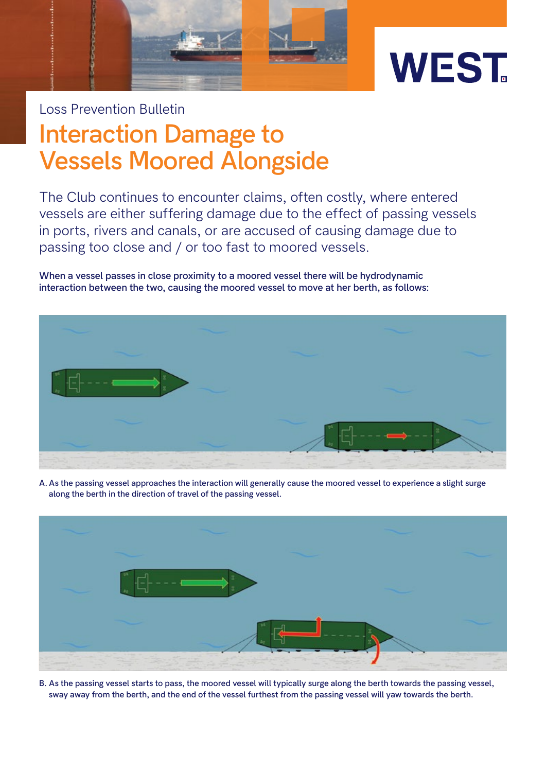

## **Interaction Damage to Vessels Moored Alongside** Loss Prevention Bulletin

The Club continues to encounter claims, often costly, where entered vessels are either suffering damage due to the effect of passing vessels in ports, rivers and canals, or are accused of causing damage due to passing too close and / or too fast to moored vessels.

**When a vessel passes in close proximity to a moored vessel there will be hydrodynamic interaction between the two, causing the moored vessel to move at her berth, as follows:**



**A. As the passing vessel approaches the interaction will generally cause the moored vessel to experience a slight surge along the berth in the direction of travel of the passing vessel.**



**B. As the passing vessel starts to pass, the moored vessel will typically surge along the berth towards the passing vessel, sway away from the berth, and the end of the vessel furthest from the passing vessel will yaw towards the berth.**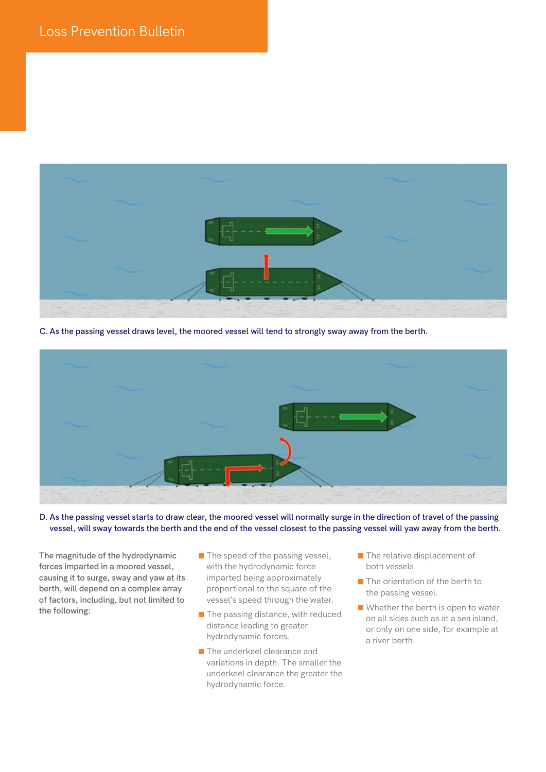

**C. As the passing vessel draws level, the moored vessel will tend to strongly sway away from the berth.**



**D. As the passing vessel starts to draw clear, the moored vessel will normally surge in the direction of travel of the passing vessel, will sway towards the berth and the end of the vessel closest to the passing vessel will yaw away from the berth.**

**The magnitude of the hydrodynamic forces imparted in a moored vessel, causing it to surge, sway and yaw at its berth, will depend on a complex array of factors, including, but not limited to the following:**

- $\blacksquare$  The speed of the passing vessel, with the hydrodynamic force imparted being approximately proportional to the square of the vessel's speed through the water.
- $\blacksquare$  The passing distance, with reduced distance leading to greater hydrodynamic forces.
- **The underkeel clearance and** variations in depth. The smaller the underkeel clearance the greater the hydrodynamic force.
- **The relative displacement of** both vessels.
- $\blacksquare$  The orientation of the berth to the passing vessel.
- $\blacksquare$  Whether the berth is open to water on all sides such as at a sea island, or only on one side, for example at a river berth.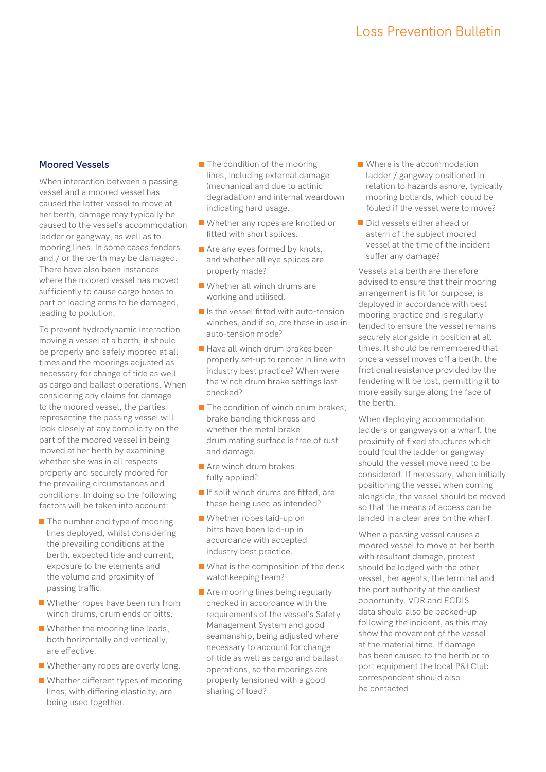## **Moored Vessels**

When interaction between a passing vessel and a moored vessel has caused the latter vessel to move at her berth, damage may typically be caused to the vessel's accommodation ladder or gangway, as well as to mooring lines. In some cases fenders and / or the berth may be damaged. There have also been instances where the moored vessel has moved sufficiently to cause cargo hoses to part or loading arms to be damaged, leading to pollution.

To prevent hydrodynamic interaction moving a vessel at a berth, it should be properly and safely moored at all times and the moorings adjusted as necessary for change of tide as well as cargo and ballast operations. When considering any claims for damage to the moored vessel, the parties representing the passing vessel will look closely at any complicity on the part of the moored vessel in being moved at her berth by examining whether she was in all respects properly and securely moored for the prevailing circumstances and conditions. In doing so the following factors will be taken into account:

- $\blacksquare$  The number and type of mooring lines deployed, whilst considering the prevailing conditions at the berth, expected tide and current, exposure to the elements and the volume and proximity of passing traffic.
- Whether ropes have been run from winch drums, drum ends or bitts.
- **Whether the mooring line leads,** both horizontally and vertically, are effective.
- Whether any ropes are overly long.
- Whether different types of mooring lines, with differing elasticity, are being used together.
- $\blacksquare$  The condition of the mooring lines, including external damage (mechanical and due to actinic degradation) and internal weardown indicating hard usage.
- Whether any ropes are knotted or fitted with short splices.
- **Are any eyes formed by knots,** and whether all eye splices are properly made?
- Whether all winch drums are working and utilised.
- Is the vessel fitted with auto-tension winches, and if so, are these in use in auto-tension mode?
- $\blacksquare$  Have all winch drum brakes been properly set-up to render in line with industry best practice? When were the winch drum brake settings last checked?
- $\blacksquare$  The condition of winch drum brakes: brake banding thickness and whether the metal brake drum mating surface is free of rust and damage.
- **Are winch drum brakes** fully applied?
- If split winch drums are fitted, are these being used as intended?
- Whether ropes laid-up on bitts have been laid-up in accordance with accepted industry best practice.
- What is the composition of the deck watchkeeping team?
- Are mooring lines being regularly checked in accordance with the requirements of the vessel's Safety Management System and good seamanship, being adjusted where necessary to account for change of tide as well as cargo and ballast operations, so the moorings are properly tensioned with a good sharing of load?
- Where is the accommodation ladder / gangway positioned in relation to hazards ashore, typically mooring bollards, which could be fouled if the vessel were to move?
- Did vessels either ahead or astern of the subject moored vessel at the time of the incident suffer any damage?

Vessels at a berth are therefore advised to ensure that their mooring arrangement is fit for purpose, is deployed in accordance with best mooring practice and is regularly tended to ensure the vessel remains securely alongside in position at all times. It should be remembered that once a vessel moves off a berth, the frictional resistance provided by the fendering will be lost, permitting it to more easily surge along the face of the berth.

When deploying accommodation ladders or gangways on a wharf, the proximity of fixed structures which could foul the ladder or gangway should the vessel move need to be considered. If necessary, when initially positioning the vessel when coming alongside, the vessel should be moved so that the means of access can be landed in a clear area on the wharf.

When a passing vessel causes a moored vessel to move at her berth with resultant damage, protest should be lodged with the other vessel, her agents, the terminal and the port authority at the earliest opportunity. VDR and ECDIS data should also be backed-up following the incident, as this may show the movement of the vessel at the material time. If damage has been caused to the berth or to port equipment the local P&I Club correspondent should also be contacted.